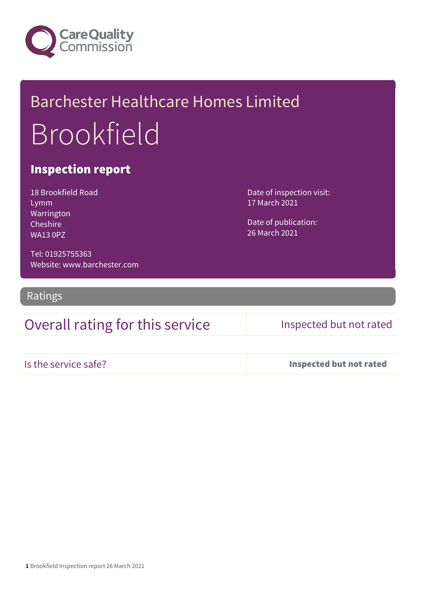

# Barchester Healthcare Homes Limited Brookfield

## Inspection report

18 Brookfield Road Lymm Warrington Cheshire WA13 0PZ

Date of inspection visit: 17 March 2021

Date of publication: 26 March 2021

Tel: 01925755363 Website: www.barchester.com

Ratings

## Overall rating for this service Inspected but not rated

Is the service safe? Inspected but not rated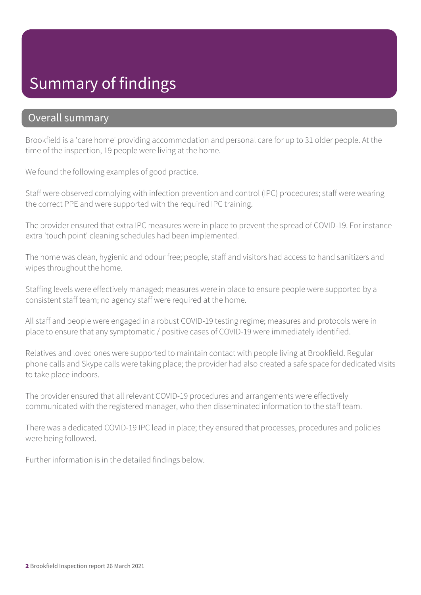# Summary of findings

### Overall summary

Brookfield is a 'care home' providing accommodation and personal care for up to 31 older people. At the time of the inspection, 19 people were living at the home.

We found the following examples of good practice.

Staff were observed complying with infection prevention and control (IPC) procedures; staff were wearing the correct PPE and were supported with the required IPC training.

The provider ensured that extra IPC measures were in place to prevent the spread of COVID-19. For instance extra 'touch point' cleaning schedules had been implemented.

The home was clean, hygienic and odour free; people, staff and visitors had access to hand sanitizers and wipes throughout the home.

Staffing levels were effectively managed; measures were in place to ensure people were supported by a consistent staff team; no agency staff were required at the home.

All staff and people were engaged in a robust COVID-19 testing regime; measures and protocols were in place to ensure that any symptomatic / positive cases of COVID-19 were immediately identified.

Relatives and loved ones were supported to maintain contact with people living at Brookfield. Regular phone calls and Skype calls were taking place; the provider had also created a safe space for dedicated visits to take place indoors.

The provider ensured that all relevant COVID-19 procedures and arrangements were effectively communicated with the registered manager, who then disseminated information to the staff team.

There was a dedicated COVID-19 IPC lead in place; they ensured that processes, procedures and policies were being followed.

Further information is in the detailed findings below.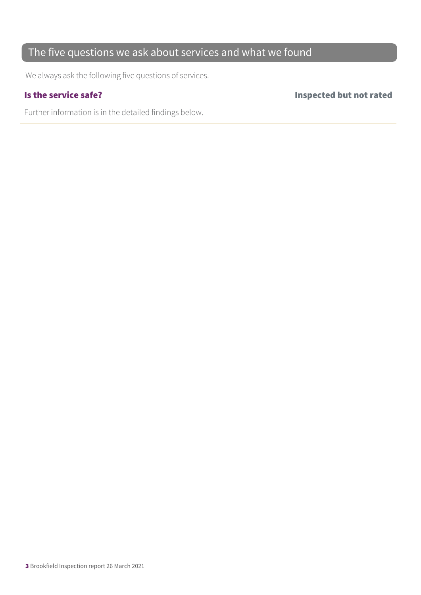## The five questions we ask about services and what we found

We always ask the following five questions of services.

Further information is in the detailed findings below.

Is the service safe? Inspected but not rated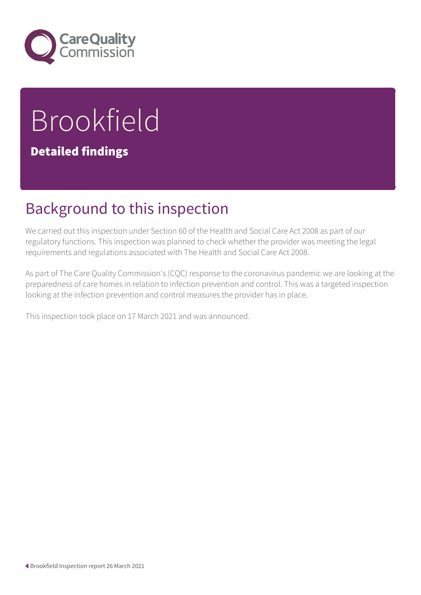

# Brookfield

## Detailed findings

# Background to this inspection

We carried out this inspection under Section 60 of the Health and Social Care Act 2008 as part of our regulatory functions. This inspection was planned to check whether the provider was meeting the legal requirements and regulations associated with The Health and Social Care Act 2008.

As part of The Care Quality Commission's (CQC) response to the coronavirus pandemic we are looking at the preparedness of care homes in relation to infection prevention and control. This was a targeted inspection looking at the infection prevention and control measures the provider has in place.

This inspection took place on 17 March 2021 and was announced.